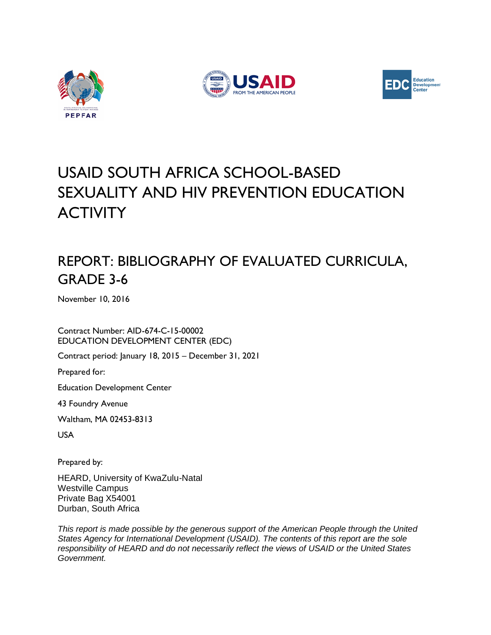





# USAID SOUTH AFRICA SCHOOL-BASED SEXUALITY AND HIV PREVENTION EDUCATION **ACTIVITY**

# REPORT: BIBLIOGRAPHY OF EVALUATED CURRICULA, GRADE 3-6

November 10, 2016

Contract Number: AID-674-C-15-00002 EDUCATION DEVELOPMENT CENTER (EDC)

Contract period: January 18, 2015 – December 31, 2021

Prepared for:

Education Development Center

43 Foundry Avenue

Waltham, MA 02453-8313

USA

Prepared by:

HEARD, University of KwaZulu-Natal Westville Campus Private Bag X54001 Durban, South Africa

*This report is made possible by the generous support of the American People through the United States Agency for International Development (USAID). The contents of this report are the sole responsibility of HEARD and do not necessarily reflect the views of USAID or the United States Government.*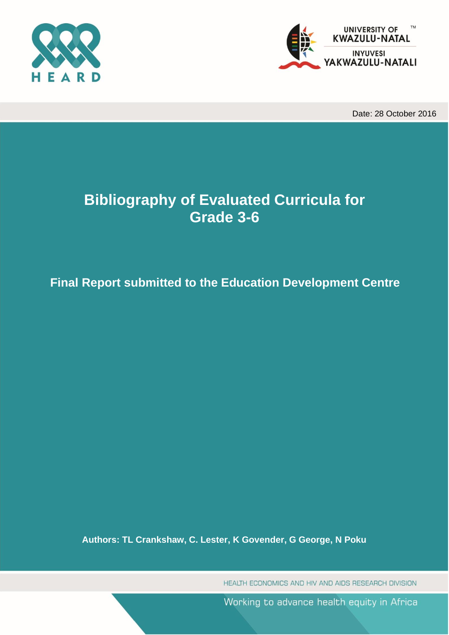



Date: 28 October 2016

# **Bibliography of Evaluated Curricula for Grade 3-6**

# **Final Report submitted to the Education Development Centre**

**Authors: TL Crankshaw, C. Lester, K Govender, G George, N Poku**

HEALTH ECONOMICS AND HIV AND AIDS RESEARCH DIVISION

Working to advance health equity in Africa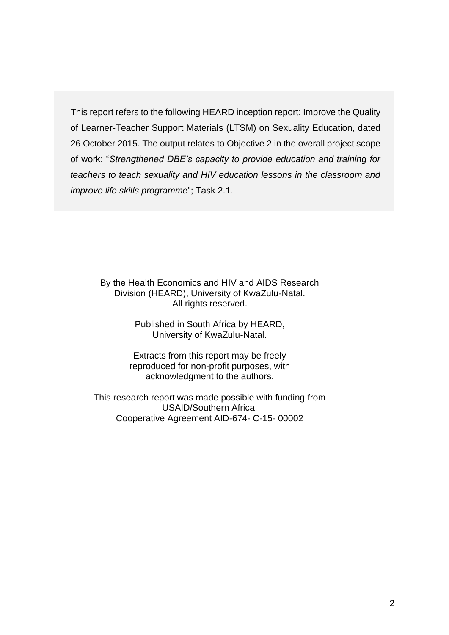This report refers to the following HEARD inception report: Improve the Quality of Learner-Teacher Support Materials (LTSM) on Sexuality Education, dated 26 October 2015. The output relates to Objective 2 in the overall project scope of work: "*Strengthened DBE's capacity to provide education and training for teachers to teach sexuality and HIV education lessons in the classroom and improve life skills programme*"; Task 2.1.

By the Health Economics and HIV and AIDS Research Division (HEARD), University of KwaZulu-Natal. All rights reserved.

> Published in South Africa by HEARD, University of KwaZulu-Natal.

Extracts from this report may be freely reproduced for non-profit purposes, with acknowledgment to the authors.

This research report was made possible with funding from USAID/Southern Africa, Cooperative Agreement AID-674- C-15- 00002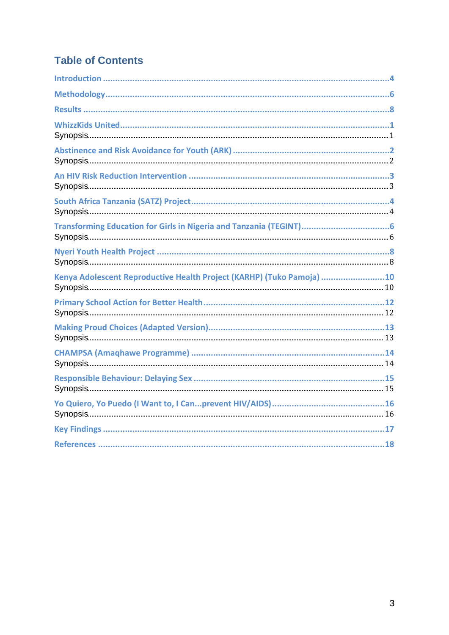### **Table of Contents**

| Transforming Education for Girls in Nigeria and Tanzania (TEGINT)     |
|-----------------------------------------------------------------------|
|                                                                       |
| Kenya Adolescent Reproductive Health Project (KARHP) (Tuko Pamoja) 10 |
|                                                                       |
|                                                                       |
|                                                                       |
|                                                                       |
|                                                                       |
|                                                                       |
|                                                                       |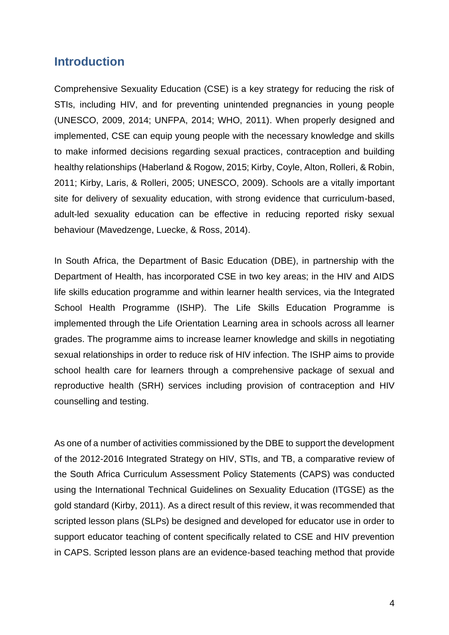### <span id="page-4-0"></span>**Introduction**

Comprehensive Sexuality Education (CSE) is a key strategy for reducing the risk of STIs, including HIV, and for preventing unintended pregnancies in young people (UNESCO, 2009, 2014; UNFPA, 2014; WHO, 2011). When properly designed and implemented, CSE can equip young people with the necessary knowledge and skills to make informed decisions regarding sexual practices, contraception and building healthy relationships (Haberland & Rogow, 2015; Kirby, Coyle, Alton, Rolleri, & Robin, 2011; Kirby, Laris, & Rolleri, 2005; UNESCO, 2009). Schools are a vitally important site for delivery of sexuality education, with strong evidence that curriculum-based, adult-led sexuality education can be effective in reducing reported risky sexual behaviour (Mavedzenge, Luecke, & Ross, 2014).

In South Africa, the Department of Basic Education (DBE), in partnership with the Department of Health, has incorporated CSE in two key areas; in the HIV and AIDS life skills education programme and within learner health services, via the Integrated School Health Programme (ISHP). The Life Skills Education Programme is implemented through the Life Orientation Learning area in schools across all learner grades. The programme aims to increase learner knowledge and skills in negotiating sexual relationships in order to reduce risk of HIV infection. The ISHP aims to provide school health care for learners through a comprehensive package of sexual and reproductive health (SRH) services including provision of contraception and HIV counselling and testing.

As one of a number of activities commissioned by the DBE to support the development of the 2012-2016 Integrated Strategy on HIV, STIs, and TB, a comparative review of the South Africa Curriculum Assessment Policy Statements (CAPS) was conducted using the International Technical Guidelines on Sexuality Education (ITGSE) as the gold standard (Kirby, 2011). As a direct result of this review, it was recommended that scripted lesson plans (SLPs) be designed and developed for educator use in order to support educator teaching of content specifically related to CSE and HIV prevention in CAPS. Scripted lesson plans are an evidence-based teaching method that provide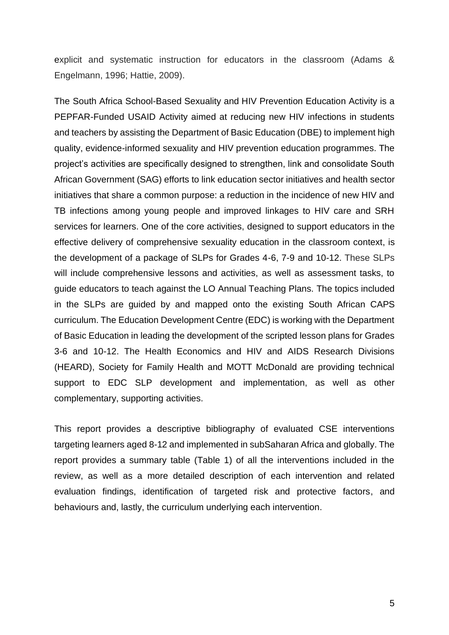explicit and systematic instruction for educators in the classroom (Adams & Engelmann, 1996; Hattie, 2009).

The South Africa School-Based Sexuality and HIV Prevention Education Activity is a PEPFAR-Funded USAID Activity aimed at reducing new HIV infections in students and teachers by assisting the Department of Basic Education (DBE) to implement high quality, evidence-informed sexuality and HIV prevention education programmes. The project's activities are specifically designed to strengthen, link and consolidate South African Government (SAG) efforts to link education sector initiatives and health sector initiatives that share a common purpose: a reduction in the incidence of new HIV and TB infections among young people and improved linkages to HIV care and SRH services for learners. One of the core activities, designed to support educators in the effective delivery of comprehensive sexuality education in the classroom context, is the development of a package of SLPs for Grades 4-6, 7-9 and 10-12. These SLPs will include comprehensive lessons and activities, as well as assessment tasks, to guide educators to teach against the LO Annual Teaching Plans. The topics included in the SLPs are guided by and mapped onto the existing South African CAPS curriculum. The Education Development Centre (EDC) is working with the Department of Basic Education in leading the development of the scripted lesson plans for Grades 3-6 and 10-12. The Health Economics and HIV and AIDS Research Divisions (HEARD), Society for Family Health and MOTT McDonald are providing technical support to EDC SLP development and implementation, as well as other complementary, supporting activities.

This report provides a descriptive bibliography of evaluated CSE interventions targeting learners aged 8-12 and implemented in subSaharan Africa and globally. The report provides a summary table (Table 1) of all the interventions included in the review, as well as a more detailed description of each intervention and related evaluation findings, identification of targeted risk and protective factors, and behaviours and, lastly, the curriculum underlying each intervention.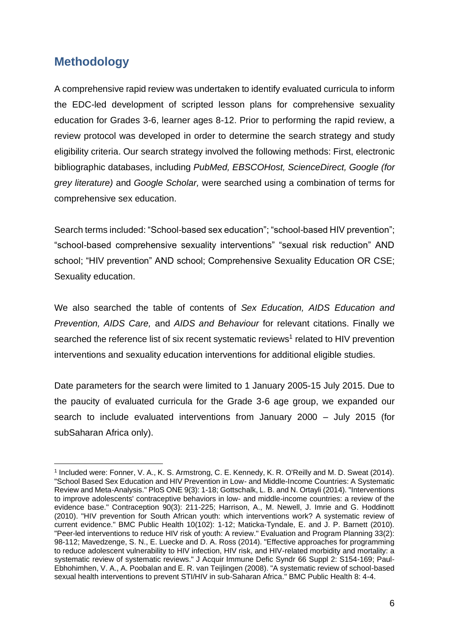### <span id="page-6-0"></span>**Methodology**

A comprehensive rapid review was undertaken to identify evaluated curricula to inform the EDC-led development of scripted lesson plans for comprehensive sexuality education for Grades 3-6, learner ages 8-12. Prior to performing the rapid review, a review protocol was developed in order to determine the search strategy and study eligibility criteria. Our search strategy involved the following methods: First, electronic bibliographic databases, including *PubMed, EBSCOHost, ScienceDirect, Google (for grey literature)* and *Google Scholar,* were searched using a combination of terms for comprehensive sex education.

Search terms included: "School-based sex education"; "school-based HIV prevention"; "school-based comprehensive sexuality interventions" "sexual risk reduction" AND school; "HIV prevention" AND school; Comprehensive Sexuality Education OR CSE; Sexuality education.

We also searched the table of contents of *Sex Education, AIDS Education and Prevention, AIDS Care,* and *AIDS and Behaviour* for relevant citations. Finally we searched the reference list of six recent systematic reviews<sup>1</sup> related to HIV prevention interventions and sexuality education interventions for additional eligible studies.

Date parameters for the search were limited to 1 January 2005-15 July 2015. Due to the paucity of evaluated curricula for the Grade 3-6 age group, we expanded our search to include evaluated interventions from January 2000 – July 2015 (for subSaharan Africa only).

<sup>&</sup>lt;sup>1</sup> Included were: Fonner, V. A., K. S. Armstrong, C. E. Kennedy, K. R. O'Reilly and M. D. Sweat (2014). "School Based Sex Education and HIV Prevention in Low- and Middle-Income Countries: A Systematic Review and Meta-Analysis." PloS ONE 9(3): 1-18; Gottschalk, L. B. and N. Ortayli (2014). "Interventions to improve adolescents' contraceptive behaviors in low- and middle-income countries: a review of the evidence base." Contraception 90(3): 211-225; Harrison, A., M. Newell, J. Imrie and G. Hoddinott (2010). "HIV prevention for South African youth: which interventions work? A systematic review of current evidence." BMC Public Health 10(102): 1-12; Maticka-Tyndale, E. and J. P. Barnett (2010). "Peer-led interventions to reduce HIV risk of youth: A review." Evaluation and Program Planning 33(2): 98-112; Mavedzenge, S. N., E. Luecke and D. A. Ross (2014). "Effective approaches for programming to reduce adolescent vulnerability to HIV infection, HIV risk, and HIV-related morbidity and mortality: a systematic review of systematic reviews." J Acquir Immune Defic Syndr 66 Suppl 2: S154-169; Paul-Ebhohimhen, V. A., A. Poobalan and E. R. van Teijlingen (2008). "A systematic review of school-based sexual health interventions to prevent STI/HIV in sub-Saharan Africa." BMC Public Health 8: 4-4.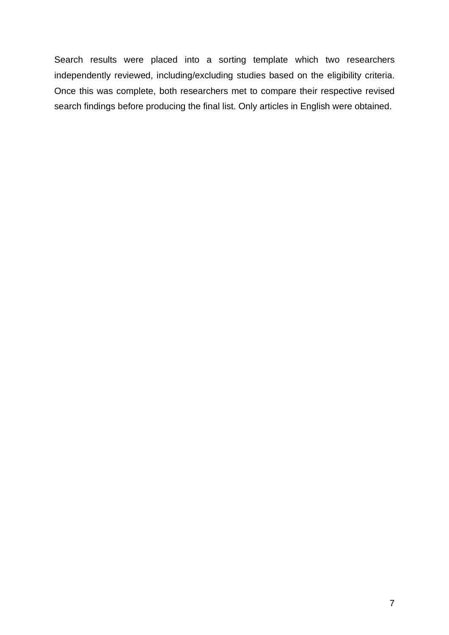Search results were placed into a sorting template which two researchers independently reviewed, including/excluding studies based on the eligibility criteria. Once this was complete, both researchers met to compare their respective revised search findings before producing the final list. Only articles in English were obtained.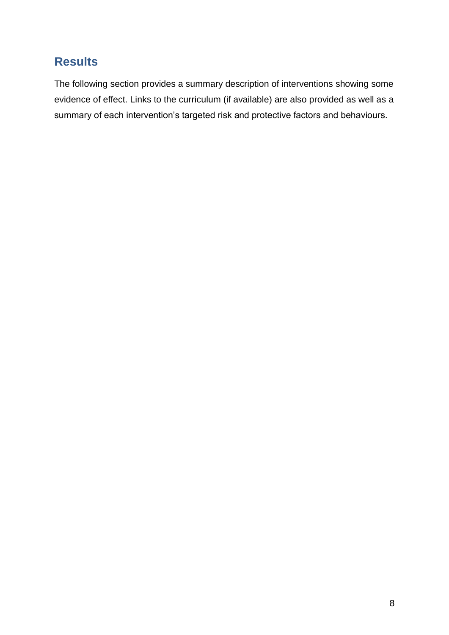# <span id="page-8-0"></span>**Results**

The following section provides a summary description of interventions showing some evidence of effect. Links to the curriculum (if available) are also provided as well as a summary of each intervention's targeted risk and protective factors and behaviours.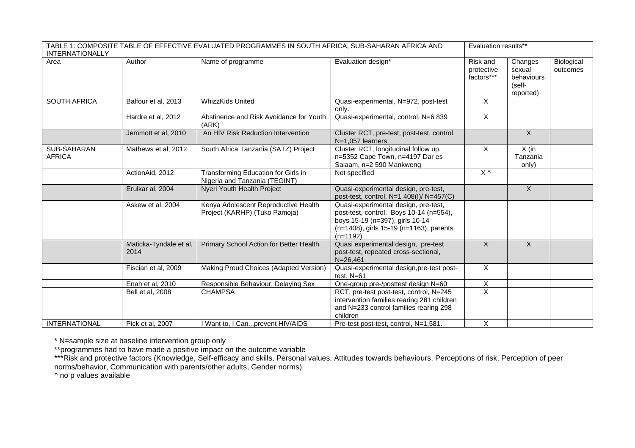| TABLE 1: COMPOSITE TABLE OF EFFECTIVE EVALUATED PROGRAMMES IN SOUTH AFRICA, SUB-SAHARAN AFRICA AND<br><b>INTERNATIONALLY</b> | Evaluation results**           |                                                                       |                                                                                                                                                                             |                                      |                                                        |                        |
|------------------------------------------------------------------------------------------------------------------------------|--------------------------------|-----------------------------------------------------------------------|-----------------------------------------------------------------------------------------------------------------------------------------------------------------------------|--------------------------------------|--------------------------------------------------------|------------------------|
| Area                                                                                                                         | Author                         | Name of programme                                                     | Evaluation design*                                                                                                                                                          | Risk and<br>protective<br>factors*** | Changes<br>sexual<br>behaviours<br>(self-<br>reported) | Biological<br>outcomes |
| <b>SOUTH AFRICA</b>                                                                                                          | Balfour et al, 2013            | <b>WhizzKids United</b>                                               | Quasi-experimental, N=972, post-test<br>only.                                                                                                                               | X                                    |                                                        |                        |
|                                                                                                                              | Hardre et al, 2012             | Abstinence and Risk Avoidance for Youth<br>(ARK)                      | Quasi-experimental, control, N=6 839                                                                                                                                        | $\mathsf{X}$                         |                                                        |                        |
|                                                                                                                              | Jemmott et al, 2010            | An HIV Risk Reduction Intervention                                    | Cluster RCT, pre-test, post-test, control,<br>$N=1.057$ learners                                                                                                            |                                      | $\overline{X}$                                         |                        |
| SUB-SAHARAN<br><b>AFRICA</b>                                                                                                 | Mathews et al, 2012            | South Africa Tanzania (SATZ) Project                                  | Cluster RCT, longitudinal follow up,<br>n=5352 Cape Town, n=4197 Dar es<br>Salaam, n=2 590 Mankweng                                                                         | $\overline{X}$                       | $X$ (in<br>Tanzania<br>only)                           |                        |
|                                                                                                                              | ActionAid, 2012                | Transforming Education for Girls in<br>Nigeria and Tanzania (TEGINT)  | Not specified                                                                                                                                                               | $X^{\wedge}$                         |                                                        |                        |
|                                                                                                                              | Erulkar al, 2004               | Nyeri Youth Health Project                                            | Quasi-experimental design, pre-test,<br>post-test, control, N=1 408(I)/ N=457(C)                                                                                            |                                      | $\overline{X}$                                         |                        |
|                                                                                                                              | Askew et al, 2004              | Kenya Adolescent Reproductive Health<br>Project (KARHP) (Tuko Pamoja) | Quasi-experimental design, pre-test,<br>post-test, control. Boys 10-14 (n=554),<br>boys 15-19 (n=397), girls 10-14<br>(n=1408), girls 15-19 (n=1163), parents<br>$(n=1192)$ |                                      |                                                        |                        |
|                                                                                                                              | Maticka-Tyndale et al,<br>2014 | Primary School Action for Better Health                               | Quasi experimental design, pre-test<br>post-test, repeated cross-sectional,<br>$N = 26,461$                                                                                 | $\overline{X}$                       | $\overline{X}$                                         |                        |
|                                                                                                                              | Fiscian et al, 2009            | Making Proud Choices (Adapted Version)                                | Quasi-experimental design, pre-test post-<br>test. $N=61$                                                                                                                   | $\mathsf{X}$                         |                                                        |                        |
|                                                                                                                              | Enah et al, 2010               | Responsible Behaviour: Delaying Sex                                   | One-group pre-/posttest design N=60                                                                                                                                         | X                                    |                                                        |                        |
|                                                                                                                              | Bell et al, 2008               | <b>CHAMPSA</b>                                                        | RCT, pre-test post-test, control, N=245<br>intervention families rearing 281 children<br>and N=233 control families rearing 298<br>children                                 | $\overline{X}$                       |                                                        |                        |
| <b>INTERNATIONAL</b>                                                                                                         | Pick et al, 2007               | I Want to, I Canprevent HIV/AIDS                                      | Pre-test post-test, control, N=1,581.                                                                                                                                       | X                                    |                                                        |                        |

\* N=sample size at baseline intervention group only

\*\*programmes had to have made a positive impact on the outcome variable

\*\*\*Risk and protective factors (Knowledge, Self-efficacy and skills, Personal values, Attitudes towards behaviours, Perceptions of risk, Perception of peer norms/behavior, Communication with parents/other adults, Gender norms)

^ no p values available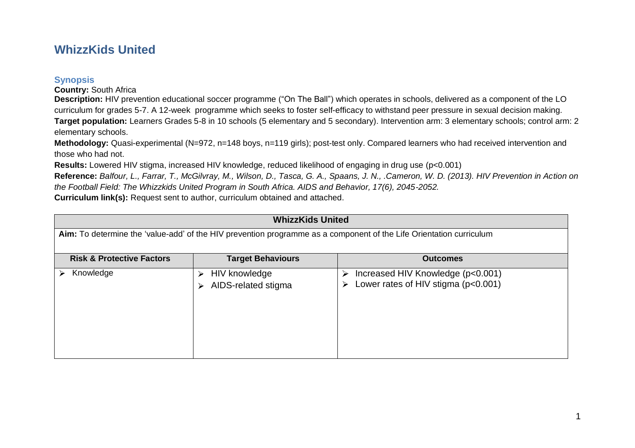### **WhizzKids United**

#### **Synopsis**

**Country:** South Africa

**Description:** HIV prevention educational soccer programme ("On The Ball") which operates in schools, delivered as a component of the LO curriculum for grades 5-7. A 12-week programme which seeks to foster self-efficacy to withstand peer pressure in sexual decision making. **Target population:** Learners Grades 5-8 in 10 schools (5 elementary and 5 secondary). Intervention arm: 3 elementary schools; control arm: 2 elementary schools.

**Methodology:** Quasi-experimental (N=972, n=148 boys, n=119 girls); post-test only. Compared learners who had received intervention and those who had not.

**Results:** Lowered HIV stigma, increased HIV knowledge, reduced likelihood of engaging in drug use (p<0.001)

**Reference:** *Balfour, L., Farrar, T., McGilvray, M., Wilson, D., Tasca, G. A., Spaans, J. N., .Cameron, W. D. (2013). HIV Prevention in Action on the Football Field: The Whizzkids United Program in South Africa. AIDS and Behavior, 17(6), 2045-2052.*

**Curriculum link(s):** Request sent to author, curriculum obtained and attached.

<span id="page-10-1"></span><span id="page-10-0"></span>

| <b>WhizzKids United</b>                                                                                             |                                                |                                                                                    |  |  |
|---------------------------------------------------------------------------------------------------------------------|------------------------------------------------|------------------------------------------------------------------------------------|--|--|
| Aim: To determine the 'value-add' of the HIV prevention programme as a component of the Life Orientation curriculum |                                                |                                                                                    |  |  |
| <b>Risk &amp; Protective Factors</b>                                                                                | <b>Target Behaviours</b>                       | <b>Outcomes</b>                                                                    |  |  |
| Knowledge<br>⋗                                                                                                      | HIV knowledge<br>⋗<br>AIDS-related stigma<br>⋗ | Increased HIV Knowledge (p<0.001)<br>⋗<br>Lower rates of HIV stigma (p<0.001)<br>⋗ |  |  |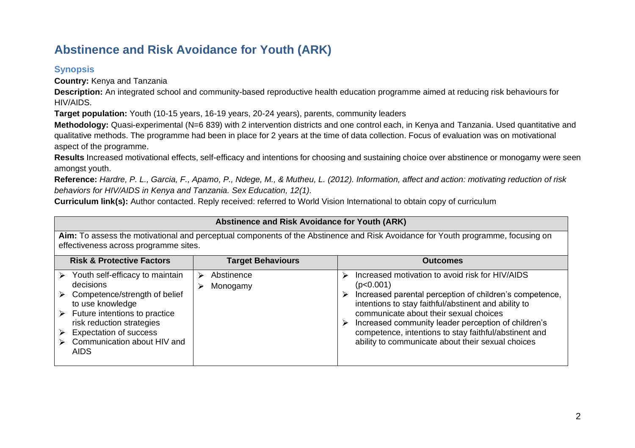# **Abstinence and Risk Avoidance for Youth (ARK)**

### **Synopsis**

**Country:** Kenya and Tanzania

**Description:** An integrated school and community-based reproductive health education programme aimed at reducing risk behaviours for HIV/AIDS.

**Target population:** Youth (10-15 years, 16-19 years, 20-24 years), parents, community leaders

**Methodology:** Quasi-experimental (N=6 839) with 2 intervention districts and one control each, in Kenya and Tanzania. Used quantitative and qualitative methods. The programme had been in place for 2 years at the time of data collection. Focus of evaluation was on motivational aspect of the programme.

**Results** Increased motivational effects, self-efficacy and intentions for choosing and sustaining choice over abstinence or monogamy were seen amongst youth.

**Reference:** *Hardre, P. L., Garcia, F., Apamo, P., Ndege, M., & Mutheu, L. (2012). Information, affect and action: motivating reduction of risk behaviors for HIV/AIDS in Kenya and Tanzania. Sex Education, 12(1).* 

**Curriculum link(s):** Author contacted. Reply received: referred to World Vision International to obtain copy of curriculum

<span id="page-11-1"></span><span id="page-11-0"></span>

| Abstinence and Risk Avoidance for Youth (ARK)                                                                                                                                                                                                                      |                          |                                                                                                                                                                                                                                                                                                                                                                                                          |  |  |
|--------------------------------------------------------------------------------------------------------------------------------------------------------------------------------------------------------------------------------------------------------------------|--------------------------|----------------------------------------------------------------------------------------------------------------------------------------------------------------------------------------------------------------------------------------------------------------------------------------------------------------------------------------------------------------------------------------------------------|--|--|
| Aim: To assess the motivational and perceptual components of the Abstinence and Risk Avoidance for Youth programme, focusing on<br>effectiveness across programme sites.                                                                                           |                          |                                                                                                                                                                                                                                                                                                                                                                                                          |  |  |
| <b>Risk &amp; Protective Factors</b>                                                                                                                                                                                                                               | <b>Target Behaviours</b> | <b>Outcomes</b>                                                                                                                                                                                                                                                                                                                                                                                          |  |  |
| Youth self-efficacy to maintain<br>⋗<br>decisions<br>Competence/strength of belief<br>⋗<br>to use knowledge<br>Future intentions to practice<br>➤<br>risk reduction strategies<br><b>Expectation of success</b><br>⋗<br>Communication about HIV and<br><b>AIDS</b> | Abstinence<br>Monogamy   | Increased motivation to avoid risk for HIV/AIDS<br>⋗<br>(p<0.001)<br>Increased parental perception of children's competence,<br>⋗<br>intentions to stay faithful/abstinent and ability to<br>communicate about their sexual choices<br>Increased community leader perception of children's<br>competence, intentions to stay faithful/abstinent and<br>ability to communicate about their sexual choices |  |  |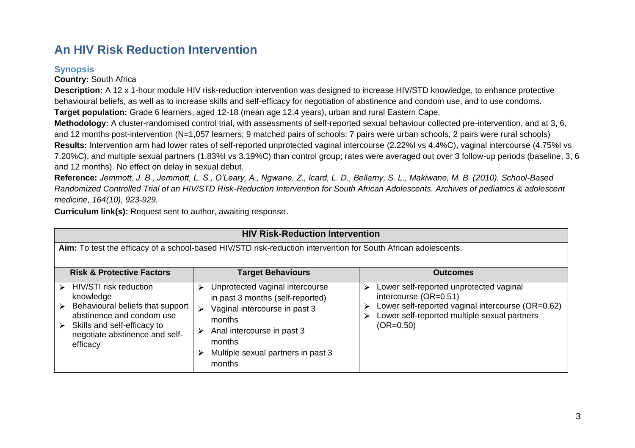## **An HIV Risk Reduction Intervention**

### **Synopsis**

**Country:** South Africa

**Description:** A 12 x 1-hour module HIV risk-reduction intervention was designed to increase HIV/STD knowledge, to enhance protective behavioural beliefs, as well as to increase skills and self-efficacy for negotiation of abstinence and condom use, and to use condoms. **Target population:** Grade 6 learners, aged 12-18 (mean age 12.4 years), urban and rural Eastern Cape.

**Methodology:** A cluster-randomised control trial, with assessments of self-reported sexual behaviour collected pre-intervention, and at 3, 6, and 12 months post-intervention (N=1,057 learners; 9 matched pairs of schools: 7 pairs were urban schools, 2 pairs were rural schools) **Results:** Intervention arm had lower rates of self-reported unprotected vaginal intercourse (2.22%I vs 4.4%C), vaginal intercourse (4.75%I vs 7.20%C), and multiple sexual partners (1.83%I vs 3.19%C) than control group; rates were averaged out over 3 follow-up periods (baseline, 3, 6 and 12 months). No effect on delay in sexual debut.

**Reference:** *Jemmott, J. B., Jemmott, L. S., O'Leary, A., Ngwane, Z., Icard, L. D., Bellamy, S. L., Makiwane, M. B. (2010). School-Based Randomized Controlled Trial of an HIV/STD Risk-Reduction Intervention for South African Adolescents. Archives of pediatrics & adolescent medicine, 164(10), 923-929.* 

**Curriculum link(s):** Request sent to author, awaiting response.

<span id="page-12-1"></span><span id="page-12-0"></span>

| <b>HIV Risk-Reduction Intervention</b>                                                                                                                                                           |                                                                                                                                                                                                                  |                                                                                                                                                                                                |  |  |  |
|--------------------------------------------------------------------------------------------------------------------------------------------------------------------------------------------------|------------------------------------------------------------------------------------------------------------------------------------------------------------------------------------------------------------------|------------------------------------------------------------------------------------------------------------------------------------------------------------------------------------------------|--|--|--|
| Aim: To test the efficacy of a school-based HIV/STD risk-reduction intervention for South African adolescents.                                                                                   |                                                                                                                                                                                                                  |                                                                                                                                                                                                |  |  |  |
| <b>Risk &amp; Protective Factors</b>                                                                                                                                                             | <b>Target Behaviours</b>                                                                                                                                                                                         | <b>Outcomes</b>                                                                                                                                                                                |  |  |  |
| HIV/STI risk reduction<br>⋗<br>knowledge<br>Behavioural beliefs that support<br>⋗<br>abstinence and condom use<br>Skills and self-efficacy to<br>➤<br>negotiate abstinence and self-<br>efficacy | Unprotected vaginal intercourse<br>⋗<br>in past 3 months (self-reported)<br>Vaginal intercourse in past 3<br>⋗<br>months<br>Anal intercourse in past 3<br>months<br>Multiple sexual partners in past 3<br>months | Lower self-reported unprotected vaginal<br>⋗<br>intercourse (OR=0.51)<br>Lower self-reported vaginal intercourse (OR=0.62)<br>➤<br>Lower self-reported multiple sexual partners<br>$(OR=0.50)$ |  |  |  |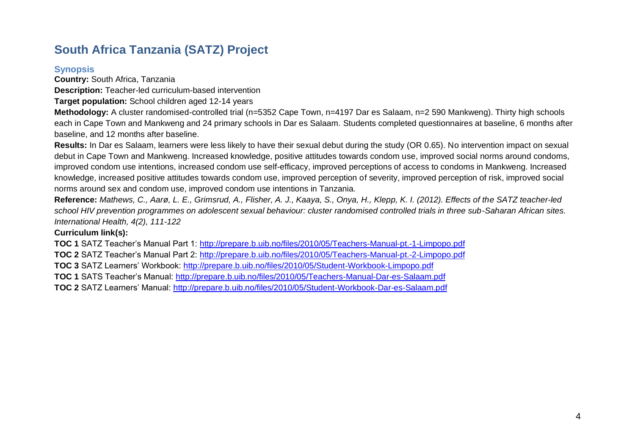# **South Africa Tanzania (SATZ) Project**

#### **Synopsis**

**Country:** South Africa, Tanzania

**Description:** Teacher-led curriculum-based intervention

**Target population:** School children aged 12-14 years

**Methodology:** A cluster randomised-controlled trial (n=5352 Cape Town, n=4197 Dar es Salaam, n=2 590 Mankweng). Thirty high schools each in Cape Town and Mankweng and 24 primary schools in Dar es Salaam. Students completed questionnaires at baseline, 6 months after baseline, and 12 months after baseline.

**Results:** In Dar es Salaam, learners were less likely to have their sexual debut during the study (OR 0.65). No intervention impact on sexual debut in Cape Town and Mankweng. Increased knowledge, positive attitudes towards condom use, improved social norms around condoms, improved condom use intentions, increased condom use self-efficacy, improved perceptions of access to condoms in Mankweng. Increased knowledge, increased positive attitudes towards condom use, improved perception of severity, improved perception of risk, improved social norms around sex and condom use, improved condom use intentions in Tanzania.

**Reference:** *Mathews, C., Aarø, L. E., Grimsrud, A., Flisher, A. J., Kaaya, S., Onya, H., Klepp, K. I. (2012). Effects of the SATZ teacher-led school HIV prevention programmes on adolescent sexual behaviour: cluster randomised controlled trials in three sub-Saharan African sites. International Health, 4(2), 111-122*

#### <span id="page-13-0"></span>**Curriculum link(s):**

<span id="page-13-1"></span>**TOC 1** SATZ Teacher's Manual Part 1:<http://prepare.b.uib.no/files/2010/05/Teachers-Manual-pt.-1-Limpopo.pdf> **TOC 2** SATZ Teacher's Manual Part 2:<http://prepare.b.uib.no/files/2010/05/Teachers-Manual-pt.-2-Limpopo.pdf> **TOC 3** SATZ Learners' Workbook:<http://prepare.b.uib.no/files/2010/05/Student-Workbook-Limpopo.pdf> **TOC 1** SATS Teacher's Manual:<http://prepare.b.uib.no/files/2010/05/Teachers-Manual-Dar-es-Salaam.pdf> **TOC 2** SATZ Learners' Manual:<http://prepare.b.uib.no/files/2010/05/Student-Workbook-Dar-es-Salaam.pdf>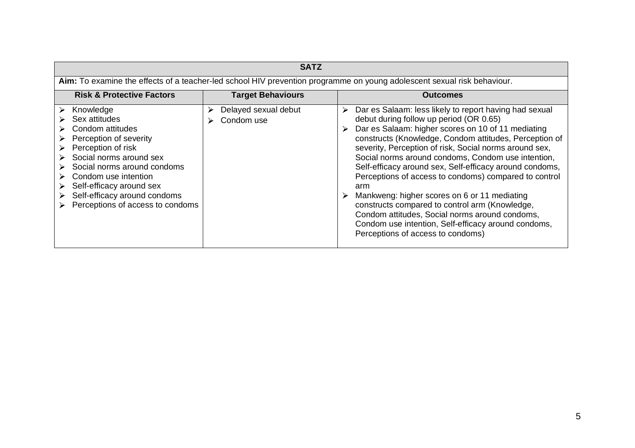| <b>SATZ</b>                                                                                                                                                                                                                                                                           |                                         |                                                                                                                                                                                                                                                                                                                                                                                                                                                                                                                                                                                                                                                                                                                   |  |  |  |
|---------------------------------------------------------------------------------------------------------------------------------------------------------------------------------------------------------------------------------------------------------------------------------------|-----------------------------------------|-------------------------------------------------------------------------------------------------------------------------------------------------------------------------------------------------------------------------------------------------------------------------------------------------------------------------------------------------------------------------------------------------------------------------------------------------------------------------------------------------------------------------------------------------------------------------------------------------------------------------------------------------------------------------------------------------------------------|--|--|--|
| Aim: To examine the effects of a teacher-led school HIV prevention programme on young adolescent sexual risk behaviour.                                                                                                                                                               |                                         |                                                                                                                                                                                                                                                                                                                                                                                                                                                                                                                                                                                                                                                                                                                   |  |  |  |
| <b>Risk &amp; Protective Factors</b>                                                                                                                                                                                                                                                  | <b>Target Behaviours</b>                | <b>Outcomes</b>                                                                                                                                                                                                                                                                                                                                                                                                                                                                                                                                                                                                                                                                                                   |  |  |  |
| Knowledge<br>⋗<br>Sex attitudes<br>Condom attitudes<br>Perception of severity<br>Perception of risk<br>Social norms around sex<br>Social norms around condoms<br>Condom use intention<br>Self-efficacy around sex<br>Self-efficacy around condoms<br>Perceptions of access to condoms | Delayed sexual debut<br>⋗<br>Condom use | Dar es Salaam: less likely to report having had sexual<br>➤<br>debut during follow up period (OR 0.65)<br>Dar es Salaam: higher scores on 10 of 11 mediating<br>constructs (Knowledge, Condom attitudes, Perception of<br>severity, Perception of risk, Social norms around sex,<br>Social norms around condoms, Condom use intention,<br>Self-efficacy around sex, Self-efficacy around condoms,<br>Perceptions of access to condoms) compared to control<br>arm<br>Mankweng: higher scores on 6 or 11 mediating<br>constructs compared to control arm (Knowledge,<br>Condom attitudes, Social norms around condoms,<br>Condom use intention, Self-efficacy around condoms,<br>Perceptions of access to condoms) |  |  |  |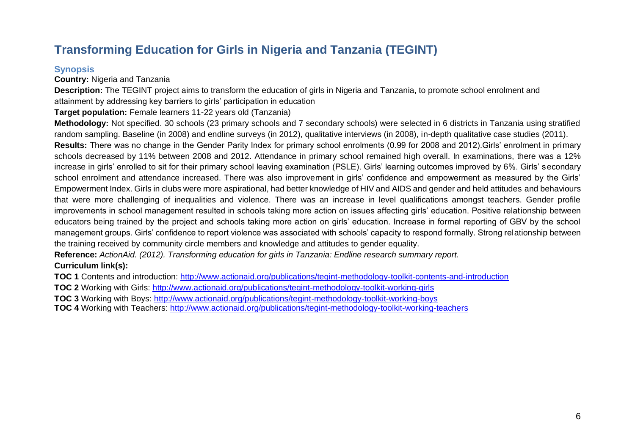# **Transforming Education for Girls in Nigeria and Tanzania (TEGINT)**

### **Synopsis**

**Country:** Nigeria and Tanzania

**Description:** The TEGINT project aims to transform the education of girls in Nigeria and Tanzania, to promote school enrolment and attainment by addressing key barriers to girls' participation in education

**Target population:** Female learners 11-22 years old (Tanzania)

**Methodology:** Not specified. 30 schools (23 primary schools and 7 secondary schools) were selected in 6 districts in Tanzania using stratified random sampling. Baseline (in 2008) and endline surveys (in 2012), qualitative interviews (in 2008), in-depth qualitative case studies (2011). **Results:** There was no change in the Gender Parity Index for primary school enrolments (0.99 for 2008 and 2012).Girls' enrolment in primary schools decreased by 11% between 2008 and 2012. Attendance in primary school remained high overall. In examinations, there was a 12% increase in girls' enrolled to sit for their primary school leaving examination (PSLE). Girls' learning outcomes improved by 6%. Girls' secondary school enrolment and attendance increased. There was also improvement in girls' confidence and empowerment as measured by the Girls' Empowerment Index. Girls in clubs were more aspirational, had better knowledge of HIV and AIDS and gender and held attitudes and behaviours that were more challenging of inequalities and violence. There was an increase in level qualifications amongst teachers. Gender profile improvements in school management resulted in schools taking more action on issues affecting girls' education. Positive relationship between educators being trained by the project and schools taking more action on girls' education. Increase in formal reporting of GBV by the school management groups. Girls' confidence to report violence was associated with schools' capacity to respond formally. Strong relationship between the training received by community circle members and knowledge and attitudes to gender equality.

<span id="page-15-1"></span><span id="page-15-0"></span>**Reference:** *ActionAid. (2012). Transforming education for girls in Tanzania: Endline research summary report.* **Curriculum link(s):** 

**TOC 1** Contents and introduction:<http://www.actionaid.org/publications/tegint-methodology-toolkit-contents-and-introduction>

**TOC 2** Working with Girls:<http://www.actionaid.org/publications/tegint-methodology-toolkit-working-girls>

**TOC 3** Working with Boys:<http://www.actionaid.org/publications/tegint-methodology-toolkit-working-boys>

**TOC 4** Working with Teachers:<http://www.actionaid.org/publications/tegint-methodology-toolkit-working-teachers>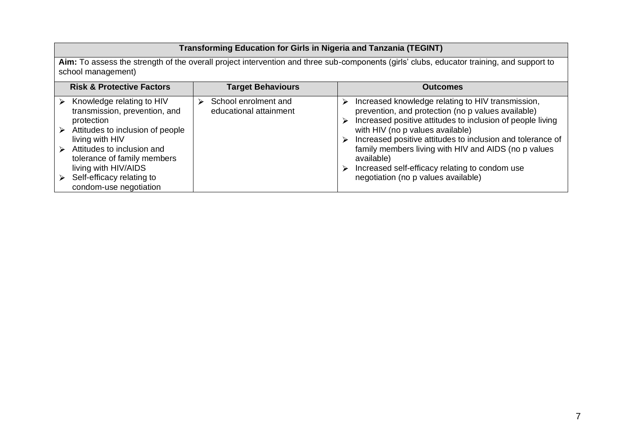### **Transforming Education for Girls in Nigeria and Tanzania (TEGINT)**

**Aim:** To assess the strength of the overall project intervention and three sub-components (girls' clubs, educator training, and support to school management)

| <b>Risk &amp; Protective Factors</b>                                                                                                                                                                                                                                        | <b>Target Behaviours</b>                       | <b>Outcomes</b>                                                                                                                                                                                                                                                                                                                                                                                                                                  |
|-----------------------------------------------------------------------------------------------------------------------------------------------------------------------------------------------------------------------------------------------------------------------------|------------------------------------------------|--------------------------------------------------------------------------------------------------------------------------------------------------------------------------------------------------------------------------------------------------------------------------------------------------------------------------------------------------------------------------------------------------------------------------------------------------|
| Knowledge relating to HIV<br>transmission, prevention, and<br>protection<br>Attitudes to inclusion of people<br>living with HIV<br>Attitudes to inclusion and<br>tolerance of family members<br>living with HIV/AIDS<br>Self-efficacy relating to<br>condom-use negotiation | School enrolment and<br>educational attainment | Increased knowledge relating to HIV transmission,<br>⋗<br>prevention, and protection (no p values available)<br>Increased positive attitudes to inclusion of people living<br>⋗<br>with HIV (no p values available)<br>Increased positive attitudes to inclusion and tolerance of<br>family members living with HIV and AIDS (no p values<br>available)<br>Increased self-efficacy relating to condom use<br>negotiation (no p values available) |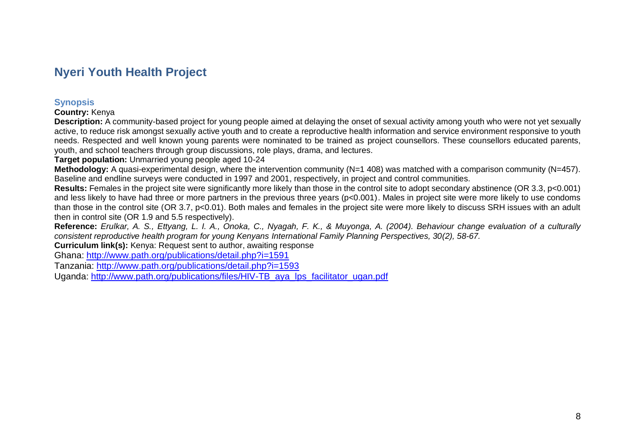### **Nyeri Youth Health Project**

#### **Synopsis**

**Country:** Kenya

**Description:** A community-based project for young people aimed at delaying the onset of sexual activity among youth who were not yet sexually active, to reduce risk amongst sexually active youth and to create a reproductive health information and service environment responsive to youth needs. Respected and well known young parents were nominated to be trained as project counsellors. These counsellors educated parents, youth, and school teachers through group discussions, role plays, drama, and lectures.

**Target population:** Unmarried young people aged 10-24

**Methodology:** A quasi-experimental design, where the intervention community (N=1 408) was matched with a comparison community (N=457). Baseline and endline surveys were conducted in 1997 and 2001, respectively, in project and control communities.

**Results:** Females in the project site were significantly more likely than those in the control site to adopt secondary abstinence (OR 3.3, p<0.001) and less likely to have had three or more partners in the previous three years (p<0.001). Males in project site were more likely to use condoms than those in the control site (OR 3.7, p<0.01). Both males and females in the project site were more likely to discuss SRH issues with an adult then in control site (OR 1.9 and 5.5 respectively).

**Reference:** *Erulkar, A. S., Ettyang, L. I. A., Onoka, C., Nyagah, F. K., & Muyonga, A. (2004). Behaviour change evaluation of a culturally consistent reproductive health program for young Kenyans International Family Planning Perspectives, 30(2), 58-67.* 

**Curriculum link(s):** Kenya: Request sent to author, awaiting response

<span id="page-17-0"></span>Ghana: <http://www.path.org/publications/detail.php?i=1591>

Tanzania:<http://www.path.org/publications/detail.php?i=1593>

<span id="page-17-1"></span>Uganda: [http://www.path.org/publications/files/HIV-TB\\_aya\\_lps\\_facilitator\\_ugan.pdf](http://www.path.org/publications/files/HIV-TB_aya_lps_facilitator_ugan.pdf)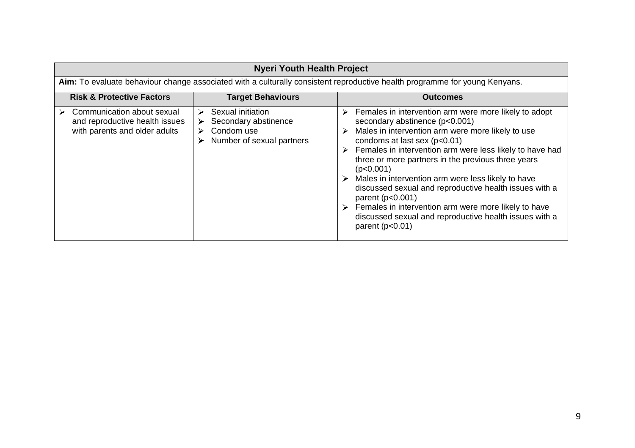| <b>Nyeri Youth Health Project</b>                                                             |        |                                                                                      |   |                                                                                                                                                                                                                                                                                                                                                                                                                                                                                                                                                                                          |
|-----------------------------------------------------------------------------------------------|--------|--------------------------------------------------------------------------------------|---|------------------------------------------------------------------------------------------------------------------------------------------------------------------------------------------------------------------------------------------------------------------------------------------------------------------------------------------------------------------------------------------------------------------------------------------------------------------------------------------------------------------------------------------------------------------------------------------|
|                                                                                               |        |                                                                                      |   | Aim: To evaluate behaviour change associated with a culturally consistent reproductive health programme for young Kenyans.                                                                                                                                                                                                                                                                                                                                                                                                                                                               |
| <b>Risk &amp; Protective Factors</b>                                                          |        | <b>Target Behaviours</b>                                                             |   | <b>Outcomes</b>                                                                                                                                                                                                                                                                                                                                                                                                                                                                                                                                                                          |
| Communication about sexual<br>and reproductive health issues<br>with parents and older adults | ➤<br>➤ | Sexual initiation<br>Secondary abstinence<br>Condom use<br>Number of sexual partners | ➤ | Females in intervention arm were more likely to adopt<br>secondary abstinence (p<0.001)<br>Males in intervention arm were more likely to use<br>condoms at last sex (p<0.01)<br>Females in intervention arm were less likely to have had<br>three or more partners in the previous three years<br>(p<0.001)<br>Males in intervention arm were less likely to have<br>discussed sexual and reproductive health issues with a<br>parent $(p<0.001)$<br>Females in intervention arm were more likely to have<br>discussed sexual and reproductive health issues with a<br>parent $(p<0.01)$ |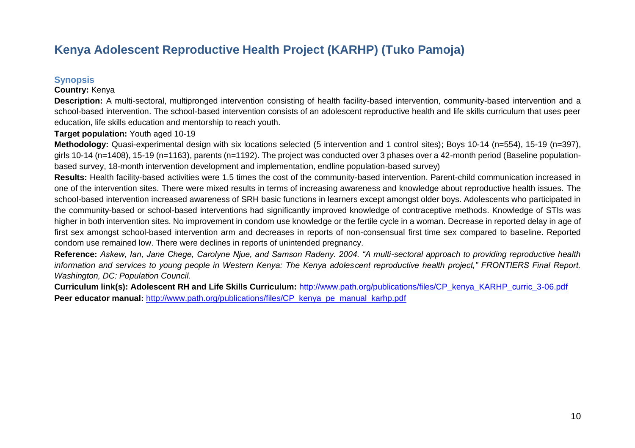## **Kenya Adolescent Reproductive Health Project (KARHP) (Tuko Pamoja)**

#### **Synopsis**

#### **Country:** Kenya

**Description:** A multi-sectoral, multipronged intervention consisting of health facility-based intervention, community-based intervention and a school-based intervention. The school-based intervention consists of an adolescent reproductive health and life skills curriculum that uses peer education, life skills education and mentorship to reach youth.

#### **Target population:** Youth aged 10-19

**Methodology:** Quasi-experimental design with six locations selected (5 intervention and 1 control sites); Boys 10-14 (n=554), 15-19 (n=397), girls 10-14 (n=1408), 15-19 (n=1163), parents (n=1192). The project was conducted over 3 phases over a 42-month period (Baseline populationbased survey, 18-month intervention development and implementation, endline population-based survey)

**Results:** Health facility-based activities were 1.5 times the cost of the community-based intervention. Parent-child communication increased in one of the intervention sites. There were mixed results in terms of increasing awareness and knowledge about reproductive health issues. The school-based intervention increased awareness of SRH basic functions in learners except amongst older boys. Adolescents who participated in the community-based or school-based interventions had significantly improved knowledge of contraceptive methods. Knowledge of STIs was higher in both intervention sites. No improvement in condom use knowledge or the fertile cycle in a woman. Decrease in reported delay in age of first sex amongst school-based intervention arm and decreases in reports of non-consensual first time sex compared to baseline. Reported condom use remained low. There were declines in reports of unintended pregnancy.

<span id="page-19-1"></span><span id="page-19-0"></span>**Reference:** *Askew, Ian, Jane Chege, Carolyne Njue, and Samson Radeny. 2004. "A multi-sectoral approach to providing reproductive health information and services to young people in Western Kenya: The Kenya adolescent reproductive health project," FRONTIERS Final Report. Washington, DC: Population Council.*

**Curriculum link(s): Adolescent RH and Life Skills Curriculum:** [http://www.path.org/publications/files/CP\\_kenya\\_KARHP\\_curric\\_3-06.pdf](http://www.path.org/publications/files/CP_kenya_KARHP_curric_3-06.pdf) **Peer educator manual: [http://www.path.org/publications/files/CP\\_kenya\\_pe\\_manual\\_karhp.pdf](http://www.path.org/publications/files/CP_kenya_pe_manual_karhp.pdf)**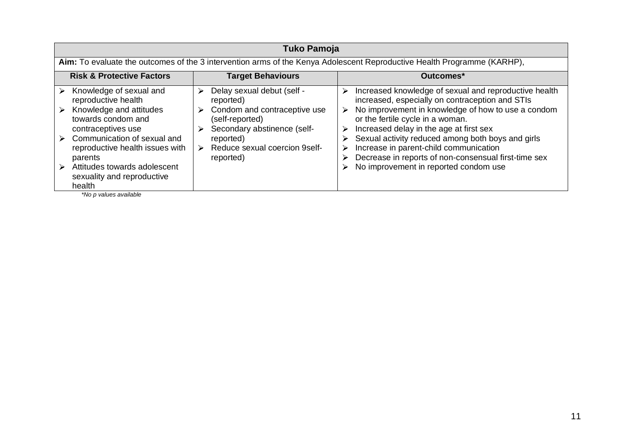|                                           | Tuko Pamoja                                                                                                                                                                                                                                                      |                            |                                                                                                                                                                                      |                                      |                                                                                                                                                                                                                                                                                                                                                                                                                                               |
|-------------------------------------------|------------------------------------------------------------------------------------------------------------------------------------------------------------------------------------------------------------------------------------------------------------------|----------------------------|--------------------------------------------------------------------------------------------------------------------------------------------------------------------------------------|--------------------------------------|-----------------------------------------------------------------------------------------------------------------------------------------------------------------------------------------------------------------------------------------------------------------------------------------------------------------------------------------------------------------------------------------------------------------------------------------------|
|                                           |                                                                                                                                                                                                                                                                  |                            |                                                                                                                                                                                      |                                      | Aim: To evaluate the outcomes of the 3 intervention arms of the Kenya Adolescent Reproductive Health Programme (KARHP),                                                                                                                                                                                                                                                                                                                       |
|                                           | <b>Risk &amp; Protective Factors</b>                                                                                                                                                                                                                             |                            | <b>Target Behaviours</b>                                                                                                                                                             |                                      | Outcomes*                                                                                                                                                                                                                                                                                                                                                                                                                                     |
| $\triangleright$<br>$\blacktriangleright$ | Knowledge of sexual and<br>reproductive health<br>Knowledge and attitudes<br>towards condom and<br>contraceptives use<br>Communication of sexual and<br>reproductive health issues with<br>parents<br>Attitudes towards adolescent<br>sexuality and reproductive | ⋗<br>⋗<br>$\triangleright$ | Delay sexual debut (self -<br>reported)<br>Condom and contraceptive use<br>(self-reported)<br>Secondary abstinence (self-<br>reported)<br>Reduce sexual coercion 9self-<br>reported) | ⋗<br>$\triangleright$<br>➤<br>⋗<br>⋗ | Increased knowledge of sexual and reproductive health<br>increased, especially on contraception and STIs<br>No improvement in knowledge of how to use a condom<br>or the fertile cycle in a woman.<br>Increased delay in the age at first sex<br>Sexual activity reduced among both boys and girls<br>Increase in parent-child communication<br>Decrease in reports of non-consensual first-time sex<br>No improvement in reported condom use |
|                                           | health<br>*No p values available                                                                                                                                                                                                                                 |                            |                                                                                                                                                                                      |                                      |                                                                                                                                                                                                                                                                                                                                                                                                                                               |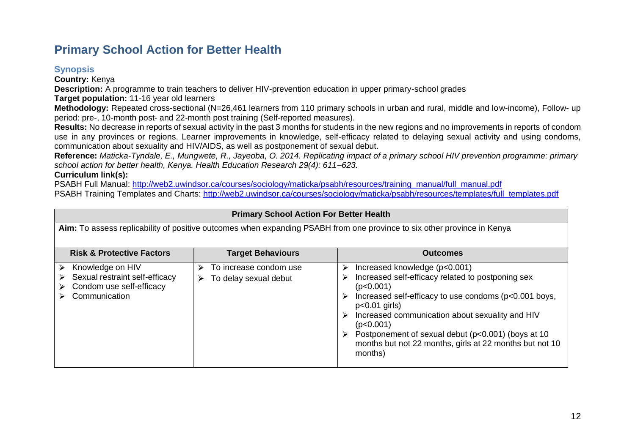## **Primary School Action for Better Health**

### **Synopsis**

**Country:** Kenya

**Description:** A programme to train teachers to deliver HIV-prevention education in upper primary-school grades

**Target population:** 11-16 year old learners

**Methodology:** Repeated cross-sectional (N=26,461 learners from 110 primary schools in urban and rural, middle and low-income), Follow- up period: pre-, 10-month post- and 22-month post training (Self-reported measures).

**Results:** No decrease in reports of sexual activity in the past 3 months for students in the new regions and no improvements in reports of condom use in any provinces or regions. Learner improvements in knowledge, self-efficacy related to delaying sexual activity and using condoms, communication about sexuality and HIV/AIDS, as well as postponement of sexual debut.

**Reference:** *Maticka-Tyndale, E., Mungwete, R., Jayeoba, O. 2014. Replicating impact of a primary school HIV prevention programme: primary school action for better health, Kenya. Health Education Research 29(4): 611–623.*

#### **Curriculum link(s):**

PSABH Full Manual: [http://web2.uwindsor.ca/courses/sociology/maticka/psabh/resources/training\\_manual/full\\_manual.pdf](http://web2.uwindsor.ca/courses/sociology/maticka/psabh/resources/training_manual/full_manual.pdf) PSABH Training Templates and Charts: [http://web2.uwindsor.ca/courses/sociology/maticka/psabh/resources/templates/full\\_templates.pdf](http://web2.uwindsor.ca/courses/sociology/maticka/psabh/resources/templates/full_templates.pdf)

<span id="page-21-1"></span><span id="page-21-0"></span>

| <b>Primary School Action For Better Health</b>                                                                          |                                                      |                                                                                                                                                                                                                                                                                                                                                                              |  |  |  |
|-------------------------------------------------------------------------------------------------------------------------|------------------------------------------------------|------------------------------------------------------------------------------------------------------------------------------------------------------------------------------------------------------------------------------------------------------------------------------------------------------------------------------------------------------------------------------|--|--|--|
| Aim: To assess replicability of positive outcomes when expanding PSABH from one province to six other province in Kenya |                                                      |                                                                                                                                                                                                                                                                                                                                                                              |  |  |  |
| <b>Risk &amp; Protective Factors</b>                                                                                    | <b>Target Behaviours</b>                             | <b>Outcomes</b>                                                                                                                                                                                                                                                                                                                                                              |  |  |  |
| Knowledge on HIV<br>➤<br>Sexual restraint self-efficacy<br>Condom use self-efficacy<br>Communication                    | To increase condom use<br>To delay sexual debut<br>⋗ | Increased knowledge (p<0.001)<br>⋗<br>Increased self-efficacy related to postponing sex<br>(p<0.001)<br>Increased self-efficacy to use condoms (p<0.001 boys,<br>$p<0.01$ girls)<br>Increased communication about sexuality and HIV<br>(p<0.001)<br>Postponement of sexual debut (p<0.001) (boys at 10<br>months but not 22 months, girls at 22 months but not 10<br>months) |  |  |  |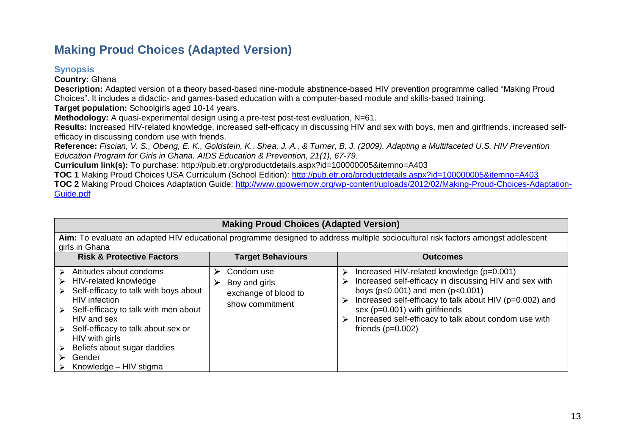## **Making Proud Choices (Adapted Version)**

### **Synopsis**

**Country:** Ghana

**Description:** Adapted version of a theory based-based nine-module abstinence-based HIV prevention programme called "Making Proud Choices". It includes a didactic- and games-based education with a computer-based module and skills-based training.

**Target population:** Schoolgirls aged 10-14 years.

**Methodology:** A quasi-experimental design using a pre-test post-test evaluation, N=61.

**Results:** Increased HIV-related knowledge, increased self-efficacy in discussing HIV and sex with boys, men and girlfriends, increased selfefficacy in discussing condom use with friends.

**Reference:** *Fiscian, V. S., Obeng, E. K., Goldstein, K., Shea, J. A., & Turner, B. J. (2009). Adapting a Multifaceted U.S. HIV Prevention Education Program for Girls in Ghana. AIDS Education & Prevention, 21(1), 67-79.*

**Curriculum link(s):** To purchase: http://pub.etr.org/productdetails.aspx?id=100000005&itemno=A403

**TOC 1** Making Proud Choices USA Curriculum (School Edition):<http://pub.etr.org/productdetails.aspx?id=100000005&itemno=A403> **TOC 2** Making Proud Choices Adaptation Guide: [http://www.gpowernow.org/wp-content/uploads/2012/02/Making-Proud-Choices-Adaptation-](http://www.gpowernow.org/wp-content/uploads/2012/02/Making-Proud-Choices-Adaptation-Guide.pdf)[Guide.pdf](http://www.gpowernow.org/wp-content/uploads/2012/02/Making-Proud-Choices-Adaptation-Guide.pdf)

### **Making Proud Choices (Adapted Version)**

<span id="page-22-0"></span>**Aim:** To evaluate an adapted HIV educational programme designed to address multiple sociocultural risk factors amongst adolescent girls in Ghana

<span id="page-22-1"></span>

| <b>Risk &amp; Protective Factors</b>                                                                                                                                                                                                                                                                                                                                          | <b>Target Behaviours</b>                                                    | <b>Outcomes</b>                                                                                                                                                                                                                                                                                                                                     |
|-------------------------------------------------------------------------------------------------------------------------------------------------------------------------------------------------------------------------------------------------------------------------------------------------------------------------------------------------------------------------------|-----------------------------------------------------------------------------|-----------------------------------------------------------------------------------------------------------------------------------------------------------------------------------------------------------------------------------------------------------------------------------------------------------------------------------------------------|
| Attitudes about condoms<br>$\triangleright$<br>$\triangleright$ HIV-related knowledge<br>Self-efficacy to talk with boys about<br>➤<br><b>HIV</b> infection<br>Self-efficacy to talk with men about<br>≻<br>HIV and sex<br>Self-efficacy to talk about sex or<br>≻<br>HIV with girls<br>Beliefs about sugar daddies<br>➤<br>Gender<br>$\triangleright$ Knowledge – HIV stigma | Condom use<br>Boy and girls<br>⋗<br>exchange of blood to<br>show commitment | Increased HIV-related knowledge (p=0.001)<br>⋗<br>Increased self-efficacy in discussing HIV and sex with<br>⋗<br>boys ( $p < 0.001$ ) and men ( $p < 0.001$ )<br>Increased self-efficacy to talk about HIV (p=0.002) and<br>⋗<br>sex ( $p=0.001$ ) with girlfriends<br>Increased self-efficacy to talk about condom use with<br>friends $(p=0.002)$ |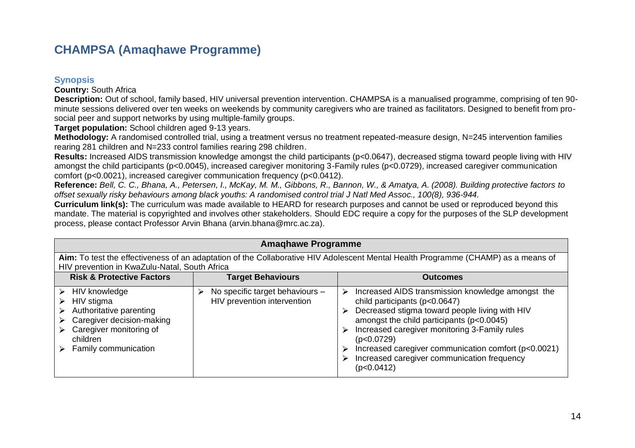### **CHAMPSA (Amaqhawe Programme)**

#### **Synopsis**

**Country:** South Africa

**Description:** Out of school, family based, HIV universal prevention intervention. CHAMPSA is a manualised programme, comprising of ten 90 minute sessions delivered over ten weeks on weekends by community caregivers who are trained as facilitators. Designed to benefit from prosocial peer and support networks by using multiple-family groups.

**Target population:** School children aged 9-13 years.

**Methodology:** A randomised controlled trial, using a treatment versus no treatment repeated-measure design, N=245 intervention families rearing 281 children and N=233 control families rearing 298 children.

**Results:** Increased AIDS transmission knowledge amongst the child participants (p<0.0647), decreased stigma toward people living with HIV amongst the child participants (p<0.0045), increased caregiver monitoring 3-Family rules (p<0.0729), increased caregiver communication comfort (p<0.0021), increased caregiver communication frequency (p<0.0412).

**Reference:** *Bell, C. C., Bhana, A., Petersen, I., McKay, M. M., Gibbons, R., Bannon, W., & Amatya, A. (2008). Building protective factors to offset sexually risky behaviours among black youths: A randomised control trial J Natl Med Assoc., 100(8), 936-944.* 

**Curriculum link(s):** The curriculum was made available to HEARD for research purposes and cannot be used or reproduced beyond this mandate. The material is copyrighted and involves other stakeholders. Should EDC require a copy for the purposes of the SLP development process, please contact Professor Arvin Bhana (arvin.bhana@mrc.ac.za).

<span id="page-23-1"></span><span id="page-23-0"></span>

| <b>Amaghawe Programme</b>                                                                                                                                                          |                                                                |                                                                                                                                                                                                                                                                                                                                                                                |  |  |
|------------------------------------------------------------------------------------------------------------------------------------------------------------------------------------|----------------------------------------------------------------|--------------------------------------------------------------------------------------------------------------------------------------------------------------------------------------------------------------------------------------------------------------------------------------------------------------------------------------------------------------------------------|--|--|
| Aim: To test the effectiveness of an adaptation of the Collaborative HIV Adolescent Mental Health Programme (CHAMP) as a means of<br>HIV prevention in KwaZulu-Natal, South Africa |                                                                |                                                                                                                                                                                                                                                                                                                                                                                |  |  |
| <b>Risk &amp; Protective Factors</b><br><b>Target Behaviours</b><br><b>Outcomes</b>                                                                                                |                                                                |                                                                                                                                                                                                                                                                                                                                                                                |  |  |
| HIV knowledge<br>$\triangleright$<br>HIV stigma<br>Authoritative parenting<br>Caregiver decision-making<br>Caregiver monitoring of<br>children<br>Family communication             | No specific target behaviours -<br>HIV prevention intervention | Increased AIDS transmission knowledge amongst the<br>⋗<br>child participants ( $p<0.0647$ )<br>Decreased stigma toward people living with HIV<br>amongst the child participants (p<0.0045)<br>Increased caregiver monitoring 3-Family rules<br>(p<0.0729)<br>Increased caregiver communication comfort (p<0.0021)<br>Increased caregiver communication frequency<br>(p<0.0412) |  |  |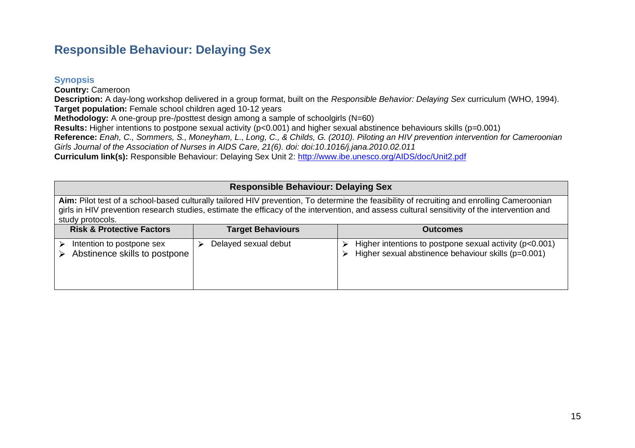### **Responsible Behaviour: Delaying Sex**

#### **Synopsis**

**Country:** Cameroon

**Description:** A day-long workshop delivered in a group format, built on the *Responsible Behavior: Delaying Sex* curriculum (WHO, 1994). **Target population:** Female school children aged 10-12 years

**Methodology:** A one-group pre-/posttest design among a sample of schoolgirls (N=60)

**Results:** Higher intentions to postpone sexual activity (p<0.001) and higher sexual abstinence behaviours skills (p=0.001)

**Reference:** *Enah, C., Sommers, S., Moneyham, L., Long, C., & Childs, G. (2010). Piloting an HIV prevention intervention for Cameroonian* 

*Girls Journal of the Association of Nurses in AIDS Care, 21(6). doi: doi:10.1016/j.jana.2010.02.011*

**Curriculum link(s):** Responsible Behaviour: Delaying Sex Unit 2:<http://www.ibe.unesco.org/AIDS/doc/Unit2.pdf>

### **Responsible Behaviour: Delaying Sex**

Aim: Pilot test of a school-based culturally tailored HIV prevention, To determine the feasibility of recruiting and enrolling Cameroonian girls in HIV prevention research studies, estimate the efficacy of the intervention, and assess cultural sensitivity of the intervention and study protocols.

<span id="page-24-1"></span><span id="page-24-0"></span>

| <b>Risk &amp; Protective Factors</b>                       | <b>Target Behaviours</b> | <b>Outcomes</b>                                                                                                |
|------------------------------------------------------------|--------------------------|----------------------------------------------------------------------------------------------------------------|
| Intention to postpone sex<br>Abstinence skills to postpone | Delayed sexual debut     | Higher intentions to postpone sexual activity (p<0.001)<br>Higher sexual abstinence behaviour skills (p=0.001) |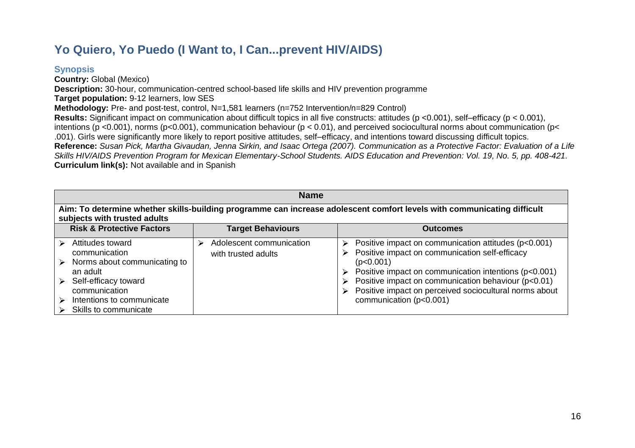# **Yo Quiero, Yo Puedo (I Want to, I Can...prevent HIV/AIDS)**

### **Synopsis**

**Country:** Global (Mexico) **Description:** 30-hour, communication-centred school-based life skills and HIV prevention programme **Target population:** 9-12 learners, low SES **Methodology:** Pre- and post-test, control, N=1,581 learners (n=752 Intervention/n=829 Control) **Results:** Significant impact on communication about difficult topics in all five constructs: attitudes (p <0.001), self–efficacy (p < 0.001), intentions (p <0.001), norms (p<0.001), communication behaviour (p < 0.01), and perceived sociocultural norms about communication (p< .001). Girls were significantly more likely to report positive attitudes, self–efficacy, and intentions toward discussing difficult topics. **Reference:** *Susan Pick, Martha Givaudan, Jenna Sirkin, and Isaac Ortega (2007). Communication as a Protective Factor: Evaluation of a Life Skills HIV/AIDS Prevention Program for Mexican Elementary-School Students. AIDS Education and Prevention: Vol. 19, No. 5, pp. 408-421.* **Curriculum link(s):** Not available and in Spanish

<span id="page-25-1"></span><span id="page-25-0"></span>

| <b>Name</b>                                                                                                                                                                                                     |                                                 |                                                                                                                                                                                                                                                                                                                                    |  |
|-----------------------------------------------------------------------------------------------------------------------------------------------------------------------------------------------------------------|-------------------------------------------------|------------------------------------------------------------------------------------------------------------------------------------------------------------------------------------------------------------------------------------------------------------------------------------------------------------------------------------|--|
| Aim: To determine whether skills-building programme can increase adolescent comfort levels with communicating difficult<br>subjects with trusted adults                                                         |                                                 |                                                                                                                                                                                                                                                                                                                                    |  |
| <b>Risk &amp; Protective Factors</b>                                                                                                                                                                            | <b>Target Behaviours</b>                        | <b>Outcomes</b>                                                                                                                                                                                                                                                                                                                    |  |
| Attitudes toward<br>➤<br>communication<br>Norms about communicating to<br>$\triangleright$<br>an adult<br>Self-efficacy toward<br>➤<br>communication<br>Intentions to communicate<br>↘<br>Skills to communicate | Adolescent communication<br>with trusted adults | Positive impact on communication attitudes (p<0.001)<br>➤<br>Positive impact on communication self-efficacy<br>⋗<br>(p<0.001)<br>Positive impact on communication intentions (p<0.001)<br>Positive impact on communication behaviour (p<0.01)<br>Positive impact on perceived sociocultural norms about<br>communication (p<0.001) |  |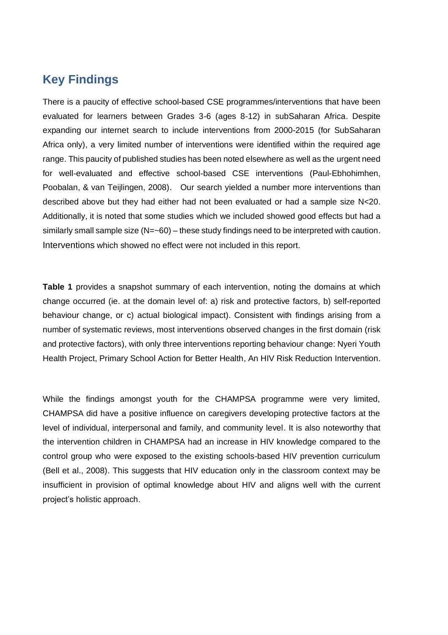### <span id="page-26-0"></span>**Key Findings**

There is a paucity of effective school-based CSE programmes/interventions that have been evaluated for learners between Grades 3-6 (ages 8-12) in subSaharan Africa. Despite expanding our internet search to include interventions from 2000-2015 (for SubSaharan Africa only), a very limited number of interventions were identified within the required age range. This paucity of published studies has been noted elsewhere as well as the urgent need for well-evaluated and effective school-based CSE interventions (Paul-Ebhohimhen, Poobalan, & van Teijlingen, 2008). Our search yielded a number more interventions than described above but they had either had not been evaluated or had a sample size N<20. Additionally, it is noted that some studies which we included showed good effects but had a similarly small sample size (N=~60) – these study findings need to be interpreted with caution. Interventions which showed no effect were not included in this report.

**Table 1** provides a snapshot summary of each intervention, noting the domains at which change occurred (ie. at the domain level of: a) risk and protective factors, b) self-reported behaviour change, or c) actual biological impact). Consistent with findings arising from a number of systematic reviews, most interventions observed changes in the first domain (risk and protective factors), with only three interventions reporting behaviour change: Nyeri Youth Health Project, Primary School Action for Better Health, An HIV Risk Reduction Intervention.

While the findings amongst youth for the CHAMPSA programme were very limited, CHAMPSA did have a positive influence on caregivers developing protective factors at the level of individual, interpersonal and family, and community level. It is also noteworthy that the intervention children in CHAMPSA had an increase in HIV knowledge compared to the control group who were exposed to the existing schools-based HIV prevention curriculum (Bell et al., 2008). This suggests that HIV education only in the classroom context may be insufficient in provision of optimal knowledge about HIV and aligns well with the current project's holistic approach.